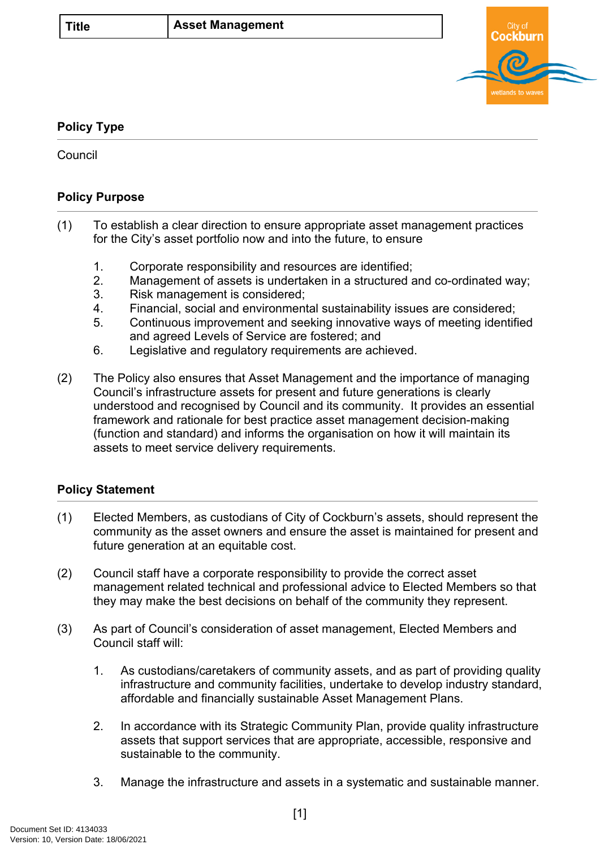

## **Policy Type**

**Council** 

## **Policy Purpose**

- (1) To establish a clear direction to ensure appropriate asset management practices for the City's asset portfolio now and into the future, to ensure
	- 1. Corporate responsibility and resources are identified;
	- 2. Management of assets is undertaken in a structured and co-ordinated way;
	- 3. Risk management is considered;
	- 4. Financial, social and environmental sustainability issues are considered;
	- 5. Continuous improvement and seeking innovative ways of meeting identified and agreed Levels of Service are fostered; and
	- 6. Legislative and regulatory requirements are achieved.
- (2) The Policy also ensures that Asset Management and the importance of managing Council's infrastructure assets for present and future generations is clearly understood and recognised by Council and its community. It provides an essential framework and rationale for best practice asset management decision-making (function and standard) and informs the organisation on how it will maintain its assets to meet service delivery requirements.

## **[Policy Statement](#page-0-0)**

- <span id="page-0-0"></span>(1) Elected Members, as custodians of City of Cockburn's assets, should represent the community as the asset owners and ensure the asset is maintained for present and future generation at an equitable cost.
- (2) Council staff have a corporate responsibility to provide the correct asset management related technical and professional advice to Elected Members so that they may make the best decisions on behalf of the community they represent.
- (3) As part of Council's consideration of asset management, Elected Members and Council staff will:
	- 1. As custodians/caretakers of community assets, and as part of providing quality infrastructure and community facilities, undertake to develop industry standard, affordable and financially sustainable Asset Management Plans.
	- 2. In accordance with its Strategic Community Plan, provide quality infrastructure assets that support services that are appropriate, accessible, responsive and sustainable to the community.
	- 3. Manage the infrastructure and assets in a systematic and sustainable manner.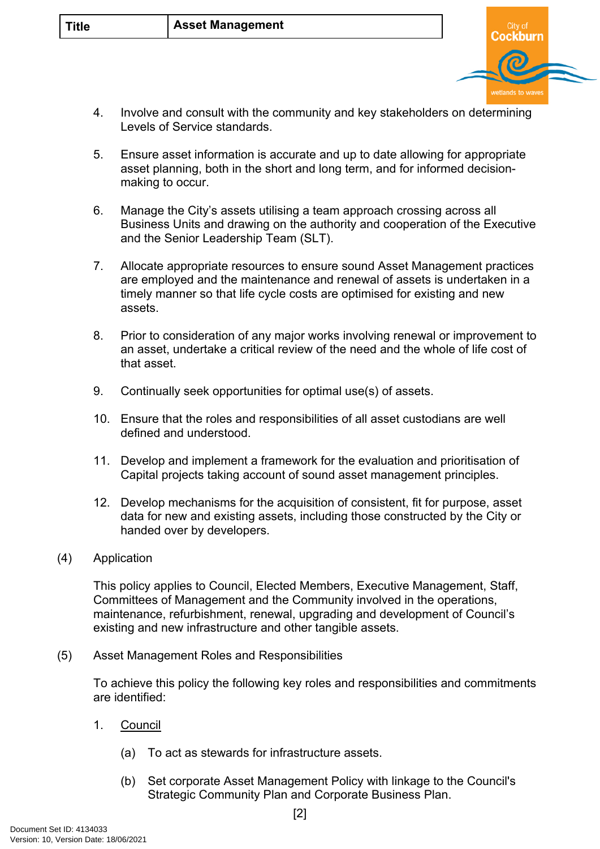

- 4. Involve and consult with the community and key stakeholders on determining Levels of Service standards.
- 5. Ensure asset information is accurate and up to date allowing for appropriate asset planning, both in the short and long term, and for informed decisionmaking to occur.
- 6. Manage the City's assets utilising a team approach crossing across all Business Units and drawing on the authority and cooperation of the Executive and the Senior Leadership Team (SLT).
- 7. Allocate appropriate resources to ensure sound Asset Management practices are employed and the maintenance and renewal of assets is undertaken in a timely manner so that life cycle costs are optimised for existing and new assets.
- 8. Prior to consideration of any major works involving renewal or improvement to an asset, undertake a critical review of the need and the whole of life cost of that asset.
- 9. Continually seek opportunities for optimal use(s) of assets.
- 10. Ensure that the roles and responsibilities of all asset custodians are well defined and understood.
- 11. Develop and implement a framework for the evaluation and prioritisation of Capital projects taking account of sound asset management principles.
- 12. Develop mechanisms for the acquisition of consistent, fit for purpose, asset data for new and existing assets, including those constructed by the City or handed over by developers.
- (4) Application

This policy applies to Council, Elected Members, Executive Management, Staff, Committees of Management and the Community involved in the operations, maintenance, refurbishment, renewal, upgrading and development of Council's existing and new infrastructure and other tangible assets.

(5) Asset Management Roles and Responsibilities

To achieve this policy the following key roles and responsibilities and commitments are identified:

- 1. Council
	- (a) To act as stewards for infrastructure assets.
	- (b) Set corporate Asset Management Policy with linkage to the Council's Strategic Community Plan and Corporate Business Plan.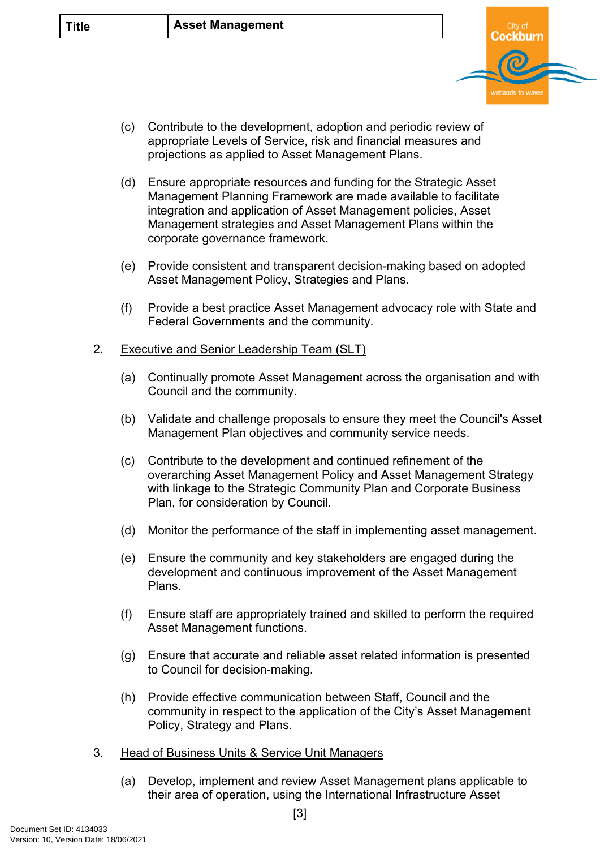(c) Contribute to the development, adoption and periodic review of appropriate Levels of Service, risk and financial measures and projections as applied to Asset Management Plans.

Cockburn

wetlands to wa

- (d) Ensure appropriate resources and funding for the Strategic Asset Management Planning Framework are made available to facilitate integration and application of Asset Management policies, Asset Management strategies and Asset Management Plans within the corporate governance framework.
- (e) Provide consistent and transparent decision-making based on adopted Asset Management Policy, Strategies and Plans.
- (f) Provide a best practice Asset Management advocacy role with State and Federal Governments and the community.
- 2. Executive and Senior Leadership Team (SLT)
	- (a) Continually promote Asset Management across the organisation and with Council and the community.
	- (b) Validate and challenge proposals to ensure they meet the Council's Asset Management Plan objectives and community service needs.
	- (c) Contribute to the development and continued refinement of the overarching Asset Management Policy and Asset Management Strategy with linkage to the Strategic Community Plan and Corporate Business Plan, for consideration by Council.
	- (d) Monitor the performance of the staff in implementing asset management.
	- (e) Ensure the community and key stakeholders are engaged during the development and continuous improvement of the Asset Management Plans.
	- (f) Ensure staff are appropriately trained and skilled to perform the required Asset Management functions.
	- (g) Ensure that accurate and reliable asset related information is presented to Council for decision-making.
	- (h) Provide effective communication between Staff, Council and the community in respect to the application of the City's Asset Management Policy, Strategy and Plans.
- 3. Head of Business Units & Service Unit Managers
	- (a) Develop, implement and review Asset Management plans applicable to their area of operation, using the International Infrastructure Asset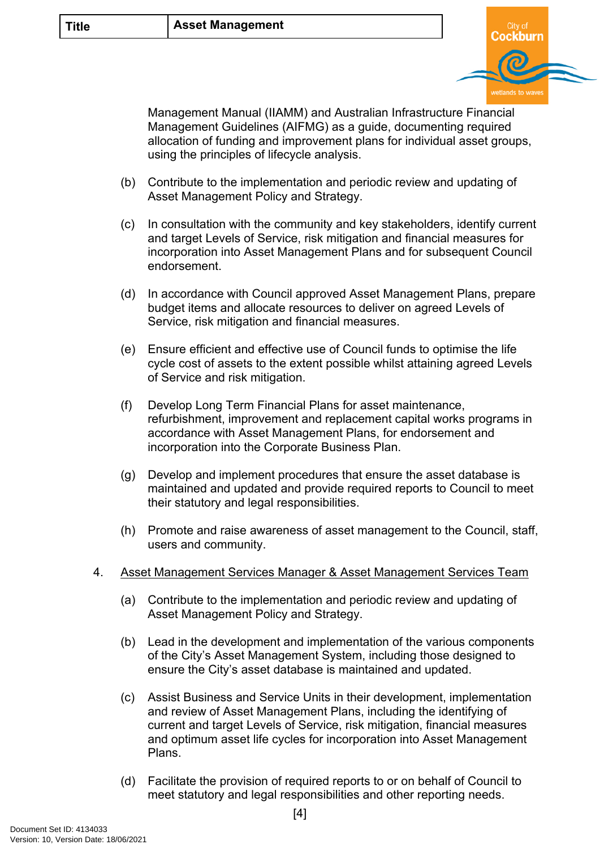

Management Manual (IIAMM) and Australian Infrastructure Financial Management Guidelines (AIFMG) as a guide, documenting required allocation of funding and improvement plans for individual asset groups, using the principles of lifecycle analysis.

- (b) Contribute to the implementation and periodic review and updating of Asset Management Policy and Strategy.
- (c) In consultation with the community and key stakeholders, identify current and target Levels of Service, risk mitigation and financial measures for incorporation into Asset Management Plans and for subsequent Council endorsement.
- (d) In accordance with Council approved Asset Management Plans, prepare budget items and allocate resources to deliver on agreed Levels of Service, risk mitigation and financial measures.
- (e) Ensure efficient and effective use of Council funds to optimise the life cycle cost of assets to the extent possible whilst attaining agreed Levels of Service and risk mitigation.
- (f) Develop Long Term Financial Plans for asset maintenance, refurbishment, improvement and replacement capital works programs in accordance with Asset Management Plans, for endorsement and incorporation into the Corporate Business Plan.
- (g) Develop and implement procedures that ensure the asset database is maintained and updated and provide required reports to Council to meet their statutory and legal responsibilities.
- (h) Promote and raise awareness of asset management to the Council, staff, users and community.
- 4. Asset Management Services Manager & Asset Management Services Team
	- (a) Contribute to the implementation and periodic review and updating of Asset Management Policy and Strategy.
	- (b) Lead in the development and implementation of the various components of the City's Asset Management System, including those designed to ensure the City's asset database is maintained and updated.
	- (c) Assist Business and Service Units in their development, implementation and review of Asset Management Plans, including the identifying of current and target Levels of Service, risk mitigation, financial measures and optimum asset life cycles for incorporation into Asset Management Plans.
	- (d) Facilitate the provision of required reports to or on behalf of Council to meet statutory and legal responsibilities and other reporting needs.